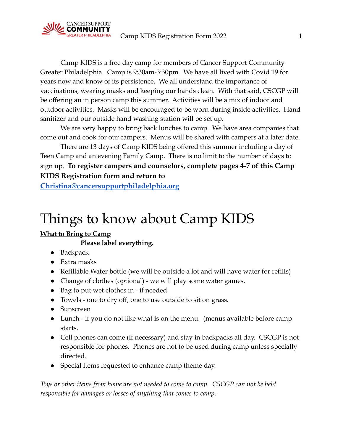

Camp KIDS is a free day camp for members of Cancer Support Community Greater Philadelphia. Camp is 9:30am-3:30pm. We have all lived with Covid 19 for years now and know of its persistence. We all understand the importance of vaccinations, wearing masks and keeping our hands clean. With that said, CSCGP will be offering an in person camp this summer. Activities will be a mix of indoor and outdoor activities. Masks will be encouraged to be worn during inside activities. Hand sanitizer and our outside hand washing station will be set up.

We are very happy to bring back lunches to camp. We have area companies that come out and cook for our campers. Menus will be shared with campers at a later date.

There are 13 days of Camp KIDS being offered this summer including a day of Teen Camp and an evening Family Camp. There is no limit to the number of days to sign up. **To register campers and counselors, complete pages 4-7 of this Camp KIDS Registration form and return to**

**[Christina@cancersupportphiladelphia.org](mailto:Christina@cancersupportphiladelphia.org)**

# Things to know about Camp KIDS

# **What to Bring to Camp**

# **Please label everything.**

- Backpack
- Extra masks
- Refillable Water bottle (we will be outside a lot and will have water for refills)
- Change of clothes (optional) we will play some water games.
- Bag to put wet clothes in if needed
- Towels one to dry off, one to use outside to sit on grass.
- Sunscreen
- Lunch if you do not like what is on the menu. (menus available before camp starts.
- Cell phones can come (if necessary) and stay in backpacks all day. CSCGP is not responsible for phones. Phones are not to be used during camp unless specially directed.
- Special items requested to enhance camp theme day.

*Toys or other items from home are not needed to come to camp. CSCGP can not be held responsible for damages or losses of anything that comes to camp.*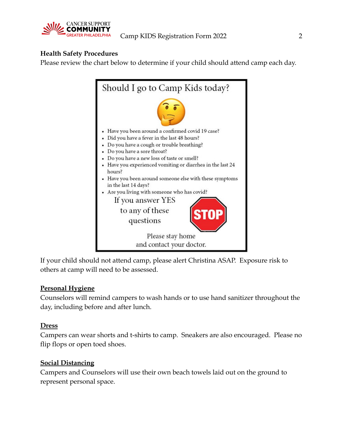

# **Health Safety Procedures**

Please review the chart below to determine if your child should attend camp each day.



If your child should not attend camp, please alert Christina ASAP. Exposure risk to others at camp will need to be assessed.

# **Personal Hygiene**

Counselors will remind campers to wash hands or to use hand sanitizer throughout the day, including before and after lunch.

# **Dress**

Campers can wear shorts and t-shirts to camp. Sneakers are also encouraged. Please no flip flops or open toed shoes.

# **Social Distancing**

Campers and Counselors will use their own beach towels laid out on the ground to represent personal space.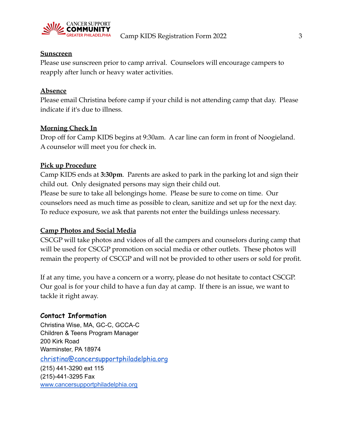

#### **Sunscreen**

Please use sunscreen prior to camp arrival. Counselors will encourage campers to reapply after lunch or heavy water activities.

# **Absence**

Please email Christina before camp if your child is not attending camp that day. Please indicate if it's due to illness.

# **Morning Check In**

Drop off for Camp KIDS begins at 9:30am. A car line can form in front of Noogieland. A counselor will meet you for check in.

# **Pick up Procedure**

Camp KIDS ends at **3:30pm**. Parents are asked to park in the parking lot and sign their child out. Only designated persons may sign their child out. Please be sure to take all belongings home. Please be sure to come on time. Our counselors need as much time as possible to clean, sanitize and set up for the next day. To reduce exposure, we ask that parents not enter the buildings unless necessary.

# **Camp Photos and Social Media**

CSCGP will take photos and videos of all the campers and counselors during camp that will be used for CSCGP promotion on social media or other outlets. These photos will remain the property of CSCGP and will not be provided to other users or sold for profit.

If at any time, you have a concern or a worry, please do not hesitate to contact CSCGP. Our goal is for your child to have a fun day at camp. If there is an issue, we want to tackle it right away.

# **Contact Information**

Christina Wise, MA, GC-C, GCCA-C Children & Teens Program Manager 200 Kirk Road Warminster, PA 18974 [christina@cancersupportphiladelphia.org](mailto:christina@cancersupportphiladelphia.org) (215) 441-3290 ext 115 (215)-441-3295 Fax [www.cancersupportphiladelphia.org](http://www.cancersupportphiladelphia.org/)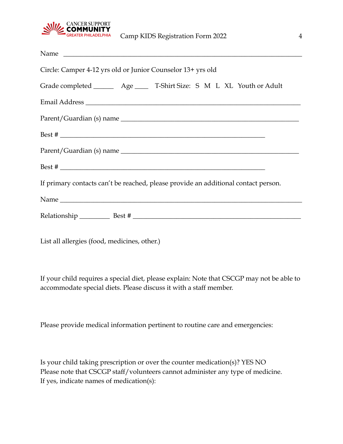

| Name                                                                               |
|------------------------------------------------------------------------------------|
| Circle: Camper 4-12 yrs old or Junior Counselor 13+ yrs old                        |
| Grade completed __________ Age _______ T-Shirt Size: S M L XL Youth or Adult       |
| Email Address                                                                      |
|                                                                                    |
| Best $#$                                                                           |
|                                                                                    |
|                                                                                    |
| If primary contacts can't be reached, please provide an additional contact person. |
|                                                                                    |
|                                                                                    |

List all allergies (food, medicines, other.)

If your child requires a special diet, please explain: Note that CSCGP may not be able to accommodate special diets. Please discuss it with a staff member.

Please provide medical information pertinent to routine care and emergencies:

Is your child taking prescription or over the counter medication(s)? YES NO Please note that CSCGP staff/volunteers cannot administer any type of medicine. If yes, indicate names of medication(s):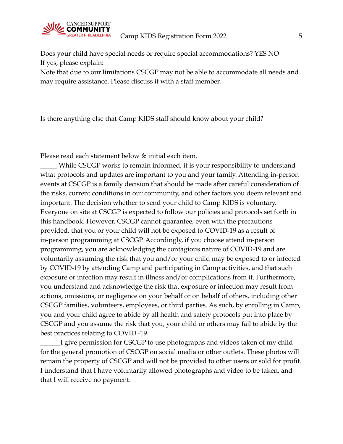

Does your child have special needs or require special accommodations? YES NO If yes, please explain:

Note that due to our limitations CSCGP may not be able to accommodate all needs and may require assistance. Please discuss it with a staff member.

Is there anything else that Camp KIDS staff should know about your child?

Please read each statement below & initial each item.

\_\_\_\_\_ While CSCGP works to remain informed, it is your responsibility to understand what protocols and updates are important to you and your family. Attending in-person events at CSCGP is a family decision that should be made after careful consideration of the risks, current conditions in our community, and other factors you deem relevant and important. The decision whether to send your child to Camp KIDS is voluntary. Everyone on site at CSCGP is expected to follow our policies and protocols set forth in this handbook. However, CSCGP cannot guarantee, even with the precautions provided, that you or your child will not be exposed to COVID-19 as a result of in-person programming at CSCGP. Accordingly, if you choose attend in-person programming, you are acknowledging the contagious nature of COVID-19 and are voluntarily assuming the risk that you and/or your child may be exposed to or infected by COVID-19 by attending Camp and participating in Camp activities, and that such exposure or infection may result in illness and/or complications from it. Furthermore, you understand and acknowledge the risk that exposure or infection may result from actions, omissions, or negligence on your behalf or on behalf of others, including other CSCGP families, volunteers, employees, or third parties. As such, by enrolling in Camp, you and your child agree to abide by all health and safety protocols put into place by CSCGP and you assume the risk that you, your child or others may fail to abide by the best practices relating to COVID -19.

\_\_\_\_\_\_I give permission for CSCGP to use photographs and videos taken of my child for the general promotion of CSCGP on social media or other outlets. These photos will remain the property of CSCGP and will not be provided to other users or sold for profit. I understand that I have voluntarily allowed photographs and video to be taken, and that I will receive no payment.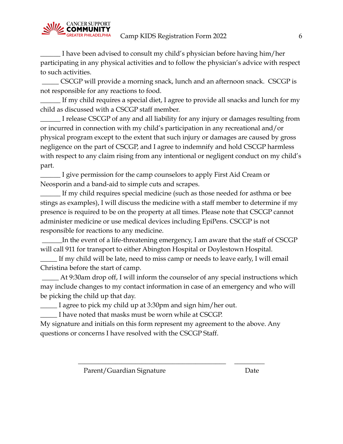

\_\_\_\_\_\_ I have been advised to consult my child's physician before having him/her participating in any physical activities and to follow the physician's advice with respect to such activities.

\_\_\_\_\_ CSCGP will provide a morning snack, lunch and an afternoon snack. CSCGP is not responsible for any reactions to food.

If my child requires a special diet, I agree to provide all snacks and lunch for my child as discussed with a CSCGP staff member.

I release CSCGP of any and all liability for any injury or damages resulting from or incurred in connection with my child's participation in any recreational and/or physical program except to the extent that such injury or damages are caused by gross negligence on the part of CSCGP, and I agree to indemnify and hold CSCGP harmless with respect to any claim rising from any intentional or negligent conduct on my child's part.

\_\_\_\_\_\_ I give permission for the camp counselors to apply First Aid Cream or Neosporin and a band-aid to simple cuts and scrapes.

\_\_\_\_\_\_ If my child requires special medicine (such as those needed for asthma or bee stings as examples), I will discuss the medicine with a staff member to determine if my presence is required to be on the property at all times. Please note that CSCGP cannot administer medicine or use medical devices including EpiPens. CSCGP is not responsible for reactions to any medicine.

In the event of a life-threatening emergency, I am aware that the staff of CSCGP will call 911 for transport to either Abington Hospital or Doylestown Hospital.

\_\_\_\_\_ If my child will be late, need to miss camp or needs to leave early, I will email Christina before the start of camp.

At 9:30am drop off, I will inform the counselor of any special instructions which may include changes to my contact information in case of an emergency and who will be picking the child up that day.

\_\_\_\_\_ I agree to pick my child up at 3:30pm and sign him/her out.

I have noted that masks must be worn while at CSCGP.

My signature and initials on this form represent my agreement to the above. Any questions or concerns I have resolved with the CSCGP Staff.

\_\_\_\_\_\_\_\_\_\_\_\_\_\_\_\_\_\_\_\_\_\_\_\_\_\_\_\_\_\_\_\_\_\_\_\_\_\_\_\_\_\_\_\_ \_\_\_\_\_\_\_\_\_

Parent/Guardian Signature Date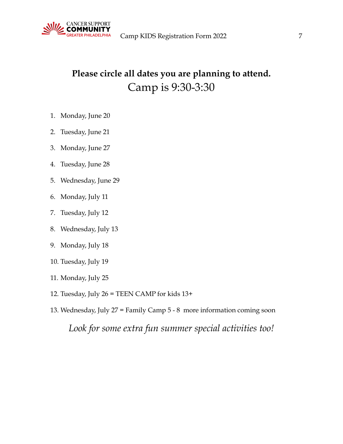

# **Please circle all dates you are planning to attend.** Camp is 9:30-3:30

- 1. Monday, June 20
- 2. Tuesday, June 21
- 3. Monday, June 27
- 4. Tuesday, June 28
- 5. Wednesday, June 29
- 6. Monday, July 11
- 7. Tuesday, July 12
- 8. Wednesday, July 13
- 9. Monday, July 18
- 10. Tuesday, July 19
- 11. Monday, July 25
- 12. Tuesday, July 26 = TEEN CAMP for kids 13+
- 13. Wednesday, July 27 = Family Camp 5 8 more information coming soon

*Look for some extra fun summer special activities too!*